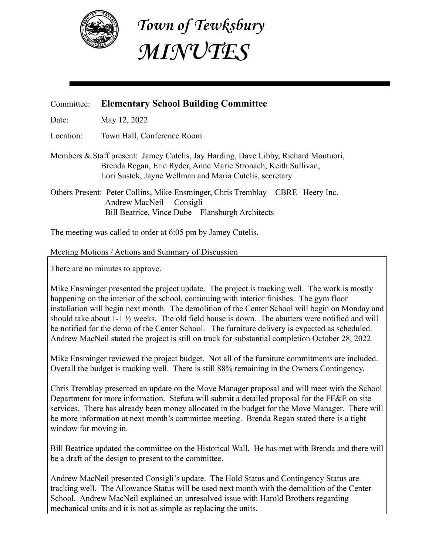

**Town of Tewksbury MINUTES**

## Committee: **Elementary School Building Committee**

Date: May 12, 2022

Location: Town Hall, Conference Room

Members & Staff present: Jamey Cutelis, Jay Harding, Dave Libby, Richard Montuori, Brenda Regan, Eric Ryder, Anne Marie Stronach, Keith Sullivan, Lori Sustek, Jayne Wellman and Maria Cutelis, secretary

Others Present: Peter Collins, Mike Ensminger, Chris Tremblay – CBRE | Heery Inc. Andrew MacNeil – Consigli Bill Beatrice, Vince Dube – Flansburgh Architects

The meeting was called to order at 6:05 pm by Jamey Cutelis.

Meeting Motions / Actions and Summary of Discussion

There are no minutes to approve.

Mike Ensminger presented the project update. The project is tracking well. The work is mostly happening on the interior of the school, continuing with interior finishes. The gym floor installation will begin next month. The demolition of the Center School will begin on Monday and should take about 1-1 ½ weeks. The old field house is down. The abutters were notified and will be notified for the demo of the Center School. The furniture delivery is expected as scheduled. Andrew MacNeil stated the project is still on track for substantial completion October 28, 2022.

Mike Ensminger reviewed the project budget. Not all of the furniture commitments are included. Overall the budget is tracking well. There is still 88% remaining in the Owners Contingency.

Chris Tremblay presented an update on the Move Manager proposal and will meet with the School Department for more information. Stefura will submit a detailed proposal for the FF&E on site services. There has already been money allocated in the budget for the Move Manager. There will be more information at next month's committee meeting. Brenda Regan stated there is a tight window for moving in.

Bill Beatrice updated the committee on the Historical Wall. He has met with Brenda and there will be a draft of the design to present to the committee.

Andrew MacNeil presented Consigli's update. The Hold Status and Contingency Status are tracking well. The Allowance Status will be used next month with the demolition of the Center School. Andrew MacNeil explained an unresolved issue with Harold Brothers regarding mechanical units and it is not as simple as replacing the units.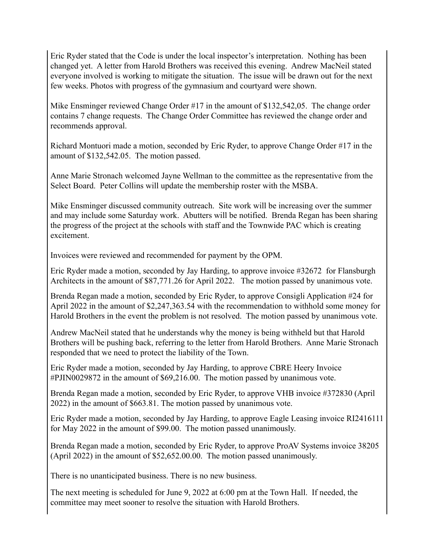Eric Ryder stated that the Code is under the local inspector's interpretation. Nothing has been changed yet. A letter from Harold Brothers was received this evening. Andrew MacNeil stated everyone involved is working to mitigate the situation. The issue will be drawn out for the next few weeks. Photos with progress of the gymnasium and courtyard were shown.

Mike Ensminger reviewed Change Order #17 in the amount of \$132,542,05. The change order contains 7 change requests. The Change Order Committee has reviewed the change order and recommends approval.

Richard Montuori made a motion, seconded by Eric Ryder, to approve Change Order #17 in the amount of \$132,542.05. The motion passed.

Anne Marie Stronach welcomed Jayne Wellman to the committee as the representative from the Select Board. Peter Collins will update the membership roster with the MSBA.

Mike Ensminger discussed community outreach. Site work will be increasing over the summer and may include some Saturday work. Abutters will be notified. Brenda Regan has been sharing the progress of the project at the schools with staff and the Townwide PAC which is creating excitement.

Invoices were reviewed and recommended for payment by the OPM.

Eric Ryder made a motion, seconded by Jay Harding, to approve invoice #32672 for Flansburgh Architects in the amount of \$87,771.26 for April 2022. The motion passed by unanimous vote.

Brenda Regan made a motion, seconded by Eric Ryder, to approve Consigli Application #24 for April 2022 in the amount of \$2,247,363.54 with the recommendation to withhold some money for Harold Brothers in the event the problem is not resolved. The motion passed by unanimous vote.

Andrew MacNeil stated that he understands why the money is being withheld but that Harold Brothers will be pushing back, referring to the letter from Harold Brothers. Anne Marie Stronach responded that we need to protect the liability of the Town.

Eric Ryder made a motion, seconded by Jay Harding, to approve CBRE Heery Invoice #PJIN0029872 in the amount of \$69,216.00. The motion passed by unanimous vote.

Brenda Regan made a motion, seconded by Eric Ryder, to approve VHB invoice #372830 (April 2022) in the amount of \$663.81. The motion passed by unanimous vote.

Eric Ryder made a motion, seconded by Jay Harding, to approve Eagle Leasing invoice RI2416111 for May 2022 in the amount of \$99.00. The motion passed unanimously.

Brenda Regan made a motion, seconded by Eric Ryder, to approve ProAV Systems invoice 38205 (April 2022) in the amount of \$52,652.00.00. The motion passed unanimously.

There is no unanticipated business. There is no new business.

The next meeting is scheduled for June 9, 2022 at 6:00 pm at the Town Hall. If needed, the committee may meet sooner to resolve the situation with Harold Brothers.